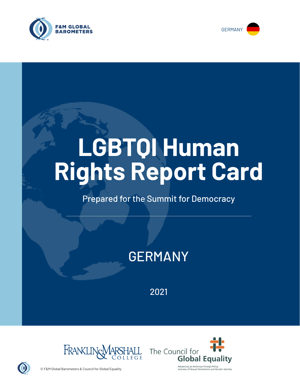



# **LGBTQI Human Rights Report Card**

## Prepared for the Summit for Democracy

# GERMANY

2021





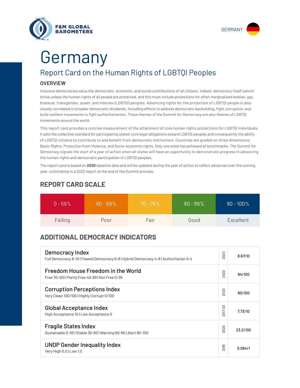



# Report Card on the Human Rights of LGBTQI Peoples Germany

#### **OVERVIEW**

Inclusive democracies value the democratic, economic, and social contributions of *all* citizens. Indeed, democracy itself cannot thrive unless the human rights of all people are protected, and this must include protections for often marginalized lesbian, gay, bisexual, transgender, queer, and intersex (LGBTQI) peoples. Advancing rights for the protection of LGBTQI people is also closely correlated to broader democratic dividends, including efforts to address democratic backsliding, fight corruption, and build resilient movements to fight authoritarianism. These themes of the Summit for Democracy are also themes of LGBTQI movements around the world.

This report card provides a concise measurement of the attainment of core human rights protections for LGBTQI individuals. It sets the collective standard for participating states' core legal obligations toward LGBTQI peoples and consequently the ability of LGBTQI citizens to contribute to and benefit from democratic institutions. Countries are graded on three dimensions: Basic Rights, Protection from Violence, and Socio-economic rights. Only one state has achieved all benchmarks. The Summit for Democracy signals the start of a year of action when all states will have an opportunity to demonstrate progress in advancing the human rights and democratic participation of LGBTQI peoples.

The report card is based on **2020** baseline data and will be updated during the year of action to reflect advances over the coming year, culminating in a 2022 report at the end of the Summit process.

| $0 - 59\%$ | $60 - 69\%$ | $70 - 79\%$ | $80 - 89\%$ | $90 - 100\%$ |
|------------|-------------|-------------|-------------|--------------|
| Failing    | Poor        | Fair        | Good        | Excellent    |

### **REPORT CARD SCALE**

## **ADDITIONAL DEMOCRACY INDICATORS**

| Democracy Index<br>Full Democracy 8-10   Flawed Democracy 6-8   Hybrid Democracy 4-6   Authoritarian 0-4 | 2020                   | 8.67/10  |
|----------------------------------------------------------------------------------------------------------|------------------------|----------|
| Freedom House Freedom in the World<br>Free 70-100   Partly Free 40-69   Not Free 0-39                    | 2020                   | 94/100   |
| <b>Corruption Perceptions Index</b><br>Very Clean 100/100   Highly Corrupt 0/100                         | 020<br>$\sim$          | 80/100   |
| <b>Global Acceptance Index</b><br>High Acceptance 10   Low Acceptance 0                                  | 2017-20                | 7.73/10  |
| <b>Fragile States Index</b><br>Sustainable 0-30   Stable 30-60   Warning 60-90   Alert 90-100            | 2020                   | 23.2/100 |
| <b>UNDP Gender Inequality Index</b><br>Very High 0.0   Low 1.0                                           | တ<br>5<br>$\bar{\sim}$ | 0.084/1  |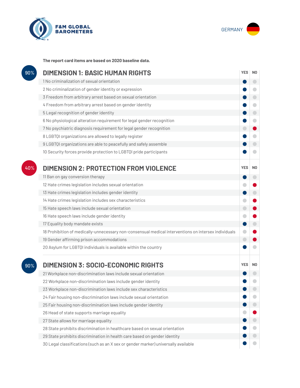



**The report card items are based on 2020 baseline data.**

| 90% | <b>DIMENSION 1: BASIC HUMAN RIGHTS</b>                                                               |            |                |
|-----|------------------------------------------------------------------------------------------------------|------------|----------------|
|     | 1 No criminalization of sexual orientation                                                           |            | $\bigcirc$     |
|     | 2 No criminalization of gender identity or expression                                                |            | o              |
|     | 3 Freedom from arbitrary arrest based on sexual orientation                                          |            | $\bullet$      |
|     | 4 Freedom from arbitrary arrest based on gender identity                                             |            | $\bigcirc$     |
|     | 5 Legal recognition of gender identity                                                               |            | $\bigcirc$     |
|     | 6 No physiological alteration requirement for legal gender recognition                               |            | $\bigcirc$     |
|     | 7 No psychiatric diagnosis requirement for legal gender recognition                                  | $\bigcirc$ |                |
|     | 8 LGBTQI organizations are allowed to legally register                                               |            |                |
|     | 9 LGBTQI organizations are able to peacefully and safely assemble                                    |            | $\blacksquare$ |
|     | 10 Security forces provide protection to LGBTQI pride participants                                   |            | a              |
| 40% | <b>DIMENSION 2: PROTECTION FROM VIOLENCE</b>                                                         | <b>YES</b> | N <sub>0</sub> |
|     | 11 Ban on gay conversion therapy                                                                     |            | $\bigcirc$     |
|     | 12 Hate crimes legislation includes sexual orientation                                               |            |                |
|     | 13 Hate crimes legislation includes gender identity                                                  |            | $\bigcirc$     |
|     | 14 Hate crimes legislation includes sex characteristics                                              |            |                |
|     | 15 Hate speech laws include sexual orientation                                                       | $\bigodot$ |                |
|     | 16 Hate speech laws include gender identity                                                          |            |                |
|     | 17 Equality body mandate exists                                                                      |            |                |
|     | 18 Prohibition of medically-unnecessary non-consensual medical interventions on intersex individuals | $\bullet$  |                |
|     | 19 Gender affirming prison accommodations                                                            | $\bigcirc$ |                |
|     | 20 Asylum for LGBTQI individuals is available within the country                                     |            |                |
| 90% | <b>DIMENSION 3: SOCIO-ECONOMIC RIGHTS</b>                                                            | <b>YES</b> | N <sub>0</sub> |
|     | 21 Workplace non-discrimination laws include sexual orientation                                      |            |                |
|     | 22 Workplace non-discrimination laws include gender identity                                         |            |                |
|     | 23 Workplace non-discrimination laws include sex characteristics                                     |            |                |
|     | 24 Fair housing non-discrimination laws include sexual orientation                                   |            |                |
|     | 25 Fair housing non-discrimination laws include gender identity                                      |            |                |
|     | 26 Head of state supports marriage equality                                                          |            |                |
|     | 27 State allows for marriage equality                                                                |            |                |
|     | 28 State prohibits discrimination in healthcare based on sexual orientation                          |            | ۰              |
|     | 29 State prohibits discrimination in health care based on gender identity                            |            |                |
|     | 30 Legal classifications (such as an X sex or gender marker) universally available                   |            |                |